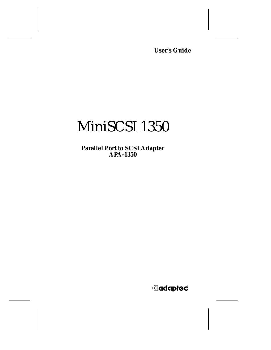**User's Guide**

# MiniSCSI 1350

**Parallel Port to SCSI Adapter APA-1350**

**G**daptec®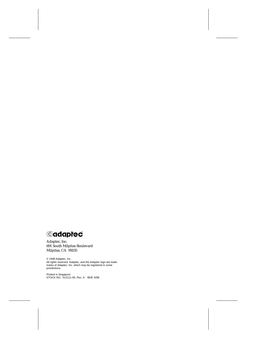*<u>Adaptec*</u>

Adaptec, Inc. 691 South Milpitas Boulevard Milpitas, CA 95035

© 1998 Adaptec, Inc. All rights reserved. Adaptec, and the Adaptec logo are trade-marks of Adaptec, Inc. which may be registered in some jurisdictions.

Printed in Singapore STOCK NO.: 512111-00, Rev. A BKB 6/98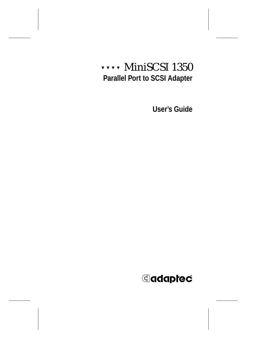## ▼ ▼ ▼ ▼ MiniSCSI 1350 **Parallel Port to SCSI Adapter**

**User's Guide**

## **G**daptec®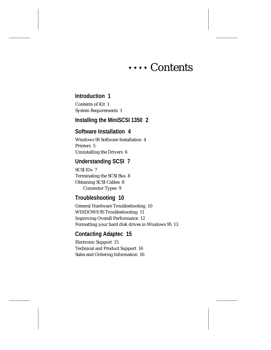## ▼ ▼ ▼ ▼ Contents

### **[Introduction 1](#page-6-0)**

[Contents of Kit 1](#page-6-0) [System Requirements 1](#page-6-0)

### **[Installing the MiniSCSI 1350 2](#page-7-0)**

### **[Software Installation 4](#page-9-0)**

[Windows 95 Software Installation 4](#page-9-0) [Printers 5](#page-10-0) [Uninstalling the Drivers 6](#page-11-0)

### **[Understanding SCSI 7](#page-12-0)**

[SCSI IDs 7](#page-12-0) [Terminating the SCSI Bus 8](#page-13-0) [Obtaining SCSI Cables 8](#page-13-0) [Connector Types 9](#page-14-0)

### **[Troubleshooting 10](#page-15-0)**

[General Hardware Troubleshooting 10](#page-15-0) [WINDOWS 95 Troubleshooting 11](#page-16-0) [Improving Overall Performance 12](#page-17-0) [Formatting your hard disk drives in Windows 95 13](#page-18-0)

### **[Contacting Adaptec 15](#page-20-0)**

[Electronic Support 15](#page-20-0) [Technical and Product Support 16](#page-21-0) [Sales and Ordering Information 16](#page-21-0)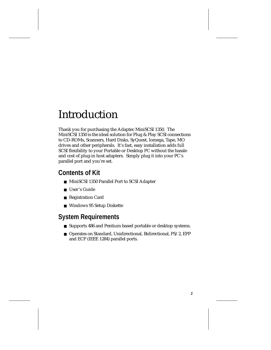## <span id="page-6-0"></span>Introduction

Thank you for purchasing the Adaptec MiniSCSI 1350. The MiniSCSI 1350 is the ideal solution for Plug & Play SCSI connections to CD-ROMs, Scanners, Hard Disks, SyQuest, Iomega, Tape, MO drives and other peripherals. It's fast, easy installation adds full SCSI flexibility to your Portable or Desktop PC without the hassle and cost of plug-in host adapters. Simply plug it into your PC's parallel port and you're set.

## **Contents of Kit**

- MiniSCSI 1350 Parallel Port to SCSI Adapter
- User's Guide
- Registration Card
- Windows 95 Setup Diskette

## **System Requirements**

- Supports 486 and Pentium based portable or desktop systems.
- Operates on Standard, Unidirectional, Bidirectional, PS/2, EPP and ECP (IEEE 1284) parallel ports.

**1**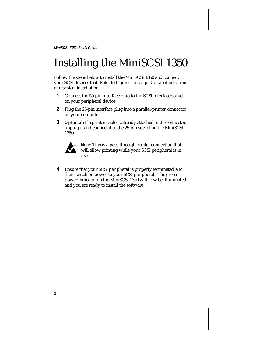## <span id="page-7-0"></span>Installing the MiniSCSI 1350

Follow the steps below to install the MiniSCSI 1350 and connect your SCSI devices to it. Refer t[o Figure 1 on page 3](#page-8-0) for an illustration of a typical installation.

- **1** Connect the 50-pin interface plug to the SCSI interface socket on your peripheral device.
- **2** Plug the 25-pin interface plug into a parallel-printer connector on your computer.
- **3** *Optional*: If a printer cable is already attached to the connector, unplug it and connect it to the 25-pin socket on the MiniSCSI 1350.



**Note:** This is a pass-through printer connection that will allow printing while your SCSI peripheral is in use.

**4** Ensure that your SCSI peripheral is properly terminated and then switch on power to your SCSI peripheral. The green power indicator on the MiniSCSI 1350 will now be illuminated and you are ready to install the software.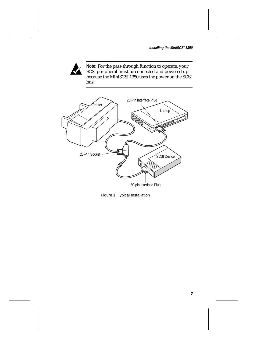**Installing the MiniSCSI 1350**

<span id="page-8-0"></span>

**Note:** For the pass-through function to operate, your SCSI peripheral must be connected and powered up because the MiniSCSI 1350 uses the power on the SCSI bus.



Figure 1. Typical Installation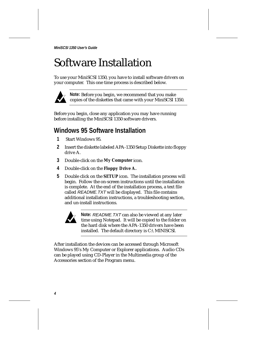## <span id="page-9-0"></span>Software Installation

To use your MiniSCSI 1350, you have to install software drivers on your computer. This one time process is described below.



**Note:** Before you begin, we recommend that you make copies of the diskettes that came with your MiniSCSI 1350.

Before you begin, close any application you may have running before installing the MiniSCSI 1350 software drivers.

### **Windows 95 Software Installation**

- **1** Start Windows 95.
- **2** Insert the diskette labeled APA-1350 Setup Diskette into floppy drive A.
- **3** Double-click on the **My Computer** icon.
- **4** Double-click on the **Floppy Drive A.**
- **5** Double click on the **SETUP** icon. The installation process will begin. Follow the on-screen instructions until the installation is complete. At the end of the installation process, a text file called README.TXT will be displayed. This file contains additional installation instructions, a troubleshooting section, and un-install instructions.



**Note:** README.TXT can also be viewed at any later time using Notepad. It will be copied to the folder on the hard disk where the APA-1350 drivers have been installed. The default directory is C:\MINISCSI.

After installation the devices can be accessed through Microsoft Windows 95's My Computer or Explorer applications. Audio CDs can be played using CD-Player in the Multimedia group of the Accessories section of the Program menu.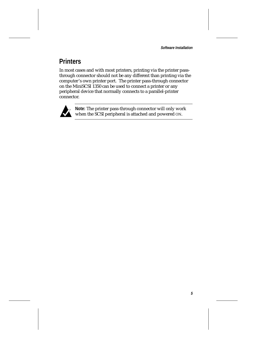**Software Installation**

**5**

## <span id="page-10-0"></span>**Printers**

In most cases and with most printers, printing via the printer passthrough connector should not be any different than printing via the computer's own printer port. The printer pass-through connector on the MiniSCSI 1350 can be used to connect a printer or any peripheral device that normally connects to a parallel-printer connector.



**Note:** The printer pass-through connector will only work when the SCSI peripheral is attached and powered ON.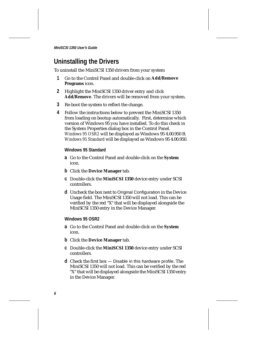### <span id="page-11-0"></span>**Uninstalling the Drivers**

To uninstall the MiniSCSI 1350 drivers from your system

- **1** Go to the Control Panel and double-click on **Add/Remove Programs** icon.
- **2** Highlight the MiniSCSI 1350 driver entry and click **Add/Remove**. The drivers will be removed from your system.
- **3** Re-boot the system to reflect the change.
- **4** Follow the instructions below to prevent the MiniSCSI 1350 from loading on bootup automatically. First, determine which version of Windows 95 you have installed. To do this check in the System Properties dialog box in the Control Panel. *Windows 95 OSR2* will be displayed as Windows 95 4.00.950 B. *Windows 95 Standard* will be displayed as Windows 95 4.00.950.

#### **Windows 95 Standard**

- **a** Go to the Control Panel and double-click on the **System** icon.
- **b** Click the **Device Manager** tab.
- **c** Double-click the **MiniSCSI 1350** device entry under SCSI controllers.
- **d** Uncheck the box next to Original Configuration in the Device Usage field. The MiniSCSI 1350 will not load. This can be verified by the red "X" that will be displayed alongside the MiniSCSI 1350 entry in the Device Manager.

### **Windows 95 OSR2**

- **a** Go to the Control Panel and double-click on the **System** icon.
- **b** Click the **Device Manager** tab.
- **c** Double-click the **MiniSCSI 1350** device entry under SCSI controllers.
- **d** Check the first box Disable in this hardware profile. The MiniSCSI 1350 will not load. This can be verified by the red "X" that will be displayed alongside the MiniSCSI 1350 entry in the Device Manager.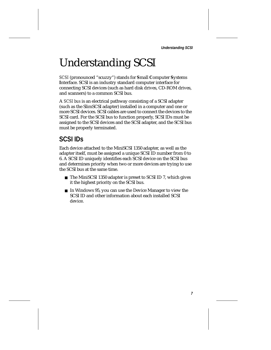**Understanding SCSI**

## <span id="page-12-0"></span>Understanding SCSI

*SCSI* (pronounced "scuzzy") stands for **S**mall **C**omputer **S**ystems **I**nterface. SCSI is an industry standard computer interface for connecting SCSI devices (such as hard disk drives, CD-ROM drives, and scanners) to a common SCSI bus.

A *SCSI bus* is an electrical pathway consisting of a SCSI adapter (such as the SlimSCSI adapter) installed in a computer and one or more SCSI devices. SCSI cables are used to connect the devices to the SCSI card. For the SCSI bus to function properly, SCSI IDs must be assigned to the SCSI devices and the SCSI adapter, and the SCSI bus must be properly terminated.

### **SCSI IDs**

Each device attached to the MiniSCSI 1350 adapter, as well as the adapter itself, must be assigned a unique SCSI ID number from 0 to 6. A SCSI ID uniquely identifies each SCSI device on the SCSI bus and determines priority when two or more devices are trying to use the SCSI bus at the same time.

- The MiniSCSI 1350 adapter is preset to SCSI ID 7, which gives it the highest priority on the SCSI bus.
- In Windows 95, you can use the Device Manager to view the SCSI ID and other information about each installed SCSI device.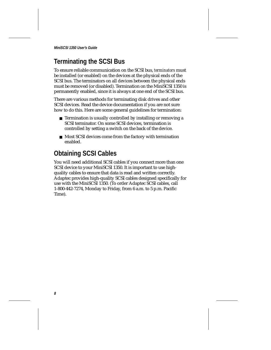## <span id="page-13-0"></span>**Terminating the SCSI Bus**

To ensure reliable communication on the SCSI bus, *terminators* must be installed (or enabled) on the devices at the physical ends of the SCSI bus. The terminators on all devices between the physical ends must be removed (or disabled). Termination on the MiniSCSI 1350 is permanently enabled, since it is always at one end of the SCSI bus.

There are various methods for terminating disk drives and other SCSI devices. Read the device documentation if you are not sure how to do this. Here are some general guidelines for termination:

- Termination is usually controlled by installing or removing a SCSI terminator. On some SCSI devices, termination is controlled by setting a switch on the back of the device.
- Most SCSI devices come from the factory with termination enabled.

### **Obtaining SCSI Cables**

You will need additional SCSI cables if you connect more than one SCSI device to your MiniSCSI 1350. It is important to use highquality cables to ensure that data is read and written correctly. Adaptec provides high-quality SCSI cables designed specifically for use with the MiniSCSI 1350. (To order Adaptec SCSI cables, call 1-800-442-7274, Monday to Friday, from 6 a.m. to 5 p.m. Pacific Time).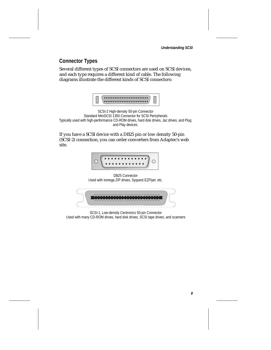**Understanding SCSI**

### <span id="page-14-0"></span>**Connector Types**

Several different types of SCSI connectors are used on SCSI devices, and each type requires a different kind of cable. The following diagrams illustrate the different kinds of SCSI connectors:



SCSI-2 High-density 50-pin Connector Standard MiniSCSI 1350 Connector for SCSI Perirpherals Typically used with high-performance CD-ROM drives, hard disk drives, Jaz drives, and Plug and Play devices.

If you have a SCSI device with a DB25 pin or low density 50-pin (SCSI-2) connection, you can order converters from Adaptec's web site.



SCSI-1, Low-density Centronics 50-pin Connector Used with many CD-ROM drives, hard disk drives, SCSI tape drives, and scanners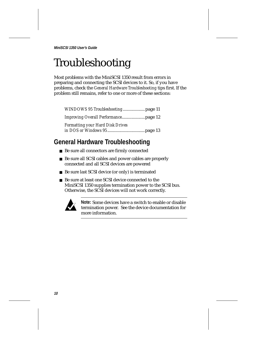## <span id="page-15-0"></span>Troubleshooting

Most problems with the MiniSCSI 1350 result from errors in preparing and connecting the SCSI devices to it. So, if you have problems, check the *General Hardware Troubleshooting* tips first. If the problem still remains, refer to one or more of these sections:

*[WINDOWS 95 Troubleshooting](#page-16-0)*....................[page 11](#page-16-0) *[Improving Overall Performanc](#page-17-0)e*.....................[page 12](#page-17-0) *Formatting your Hard Disk Drives in DOS or Windows 95*..................................[page 13](#page-18-0)

## **General Hardware Troubleshooting**

- Be sure all connectors are firmly connected
- Be sure all SCSI cables and power cables are properly connected and all SCSI devices are powered
- Be sure last SCSI device (or only) is terminated
- Be sure at least one SCSI device connected to the MiniSCSI 1350 supplies termination power to the SCSI bus. Otherwise, the SCSI devices will not work correctly.



**Note:** Some devices have a switch to enable or disable termination power. See the device documentation for more information.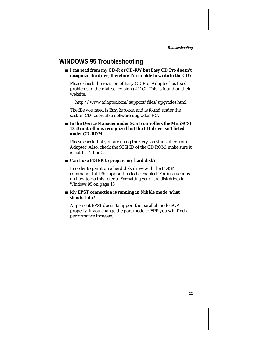### <span id="page-16-0"></span>**WINDOWS 95 Troubleshooting**

■ **I can read from my CD-R or CD-RW but Easy CD Pro doesn't recognize the drive, therefore I'm unable to write to the CD?**

Please check the revision of Easy CD Pro. Adaptec has fixed problems in their latest revision (2.11C). This is found on their website:

http://www.adaptec.com/support/files/upgrades.html

The file you need is Easy2up.exe, and is found under the section CD recordable software upgrades PC.

### ■ In the Device Manager under SCSI controllers the MiniSCSI **1350 controller is recognized but the CD drive isn't listed under CD-ROM.**

Please check that you are using the very latest installer from Adaptec. Also, check the SCSI ID of the CD ROM, make sure it is not ID 7, 1 or 0.

### ■ **Can I use FDISK to prepare my hard disk?**

In order to partition a hard disk drive with the FDISK command, Int 13h support has to be enabled. For instructions on how to do this refer to *[Formatting your hard disk drives in](#page-18-0)  [Windows 95](#page-18-0)* on page 13.

### ■ My EPST connection is running in Nibble mode, what **should I do?**

At present EPST doesn't support the parallel mode ECP properly. If you change the port mode to EPP you will find a performance increase.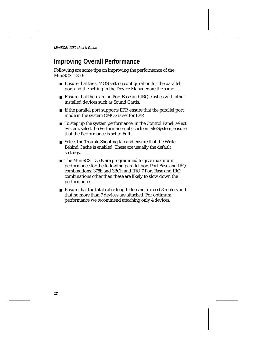### <span id="page-17-0"></span>**Improving Overall Performance**

Following are some tips on improving the performance of the MiniSCSI 1350:

- Ensure that the CMOS setting configuration for the parallel port and the setting in the Device Manager are the same.
- Ensure that there are no Port Base and IRQ clashes with other installed devices such as Sound Cards.
- If the parallel port supports EPP, ensure that the parallel port mode in the system CMOS is set for EPP.
- To step up the system performance, in the Control Panel, select System, select the Performance tab, click on File System, ensure that the Performance is set to Full.
- Select the Trouble Shooting tab and ensure that the Write Behind Cache is enabled. These are usually the default settings.
- The MiniSCSI 1350s are programmed to give maximum performance for the following parallel port Port Base and IRQ combinations: 378h and 3BCh and IRQ 7 Port Base and IRQ combinations other than these are likely to slow down the performance.
- Ensure that the total cable length does not exceed 3 meters and that no more than 7 devices are attached. For optimum performance we recommend attaching only 4 devices.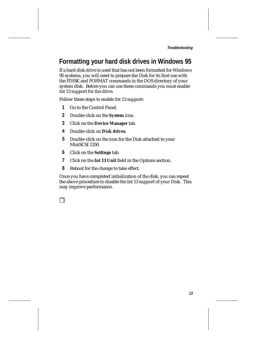**Troubleshooting**

## <span id="page-18-0"></span>**Formatting your hard disk drives in Windows 95**

If a hard disk drive is used that has not been formatted for Windows 95 systems, you will need to prepare the Disk for its first use with the FDISK and FORMAT commands in the DOS directory of your system disk. Before you can use these commands you must enable Int 13 support for the drive.

Follow these steps to enable Int 13 support:

- **1** Go to the Control Panel.
- **2** Double-click on the **System** icon.
- **3** Click on the **Device Manager** tab.
- **4** Double-click on **Disk drives**.
- **5** Double-click on the icon for the Disk attached to your MiniSCSI 1350.
- **6** Click on the **Settings** tab.
- **7** Click on the **Int 13 Unit** field in the Options section.
- **8** Reboot for the change to take effect.

Once you have completed initialization of the disk, you can repeat the above procedure to disable the Int 13 support of your Disk. This may improve performance.

|  |  | ٦<br>I |
|--|--|--------|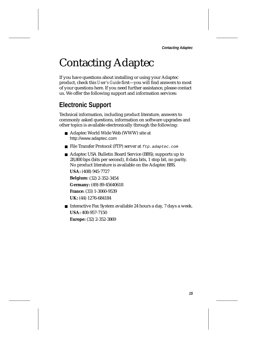## <span id="page-20-0"></span>Contacting Adaptec

If you have questions about installing or using your Adaptec product, check this *User's Guide* first—you will find answers to most of your questions here. If you need further assistance, please contact us. We offer the following support and information services:

## **Electronic Support**

Technical information, including product literature, answers to commonly asked questions, information on software upgrades and other topics is available electronically through the following:

- Adaptec World Wide Web (WWW) site at http://www.adaptec.com
- File Transfer Protocol (FTP) server at  $ftp$ . adaptec.com
- Adaptec USA Bulletin Board Service (BBS); supports up to 28,800 bps (bits per second), 8 data bits, 1 stop bit, no parity. No product literature is available on the Adaptec BBS.

**USA:** (408) 945-7727 **Belgium:** (32) 2-352-3454 **Germany:** (49) 89-45640618 **France:** (33) 1-3060-9539 **UK:** (44) 1276-684184

■ Interactive Fax System available 24 hours a day, 7 days a week. **USA:** 408-957-7150 **Europe:** (32) 2-352-3869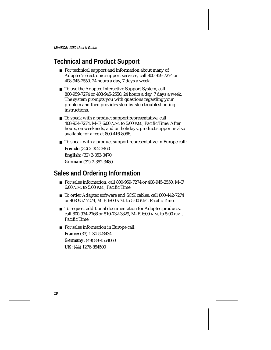## <span id="page-21-0"></span>**Technical and Product Support**

- For technical support and information about many of Adaptec's electronic support services, call 800-959-7274 or 408-945-2550, 24 hours a day, 7 days a week.
- To use the Adaptec Interactive Support System, call 800-959-7274 or 408-945-2550, 24 hours a day, 7 days a week. The system prompts you with questions regarding your problem and then provides step-by-step troubleshooting instructions.
- To speak with a product support representative, call 408-934-7274, M–F, 6:00 A.M. to 5:00 P.M., Pacific Time. After hours, on weekends, and on holidays, product support is also available for a fee at 800-416-8066.
- To speak with a product support representative in Europe call: **French:** (32) 2-352-3460 **English:** (32) 2-352-3470 **German:** (32) 2-352-3480

### **Sales and Ordering Information**

- For sales information, call 800-959-7274 or 408-945-2550, M-F, 6:00 A.M. to 5:00 P.M., Pacific Time.
- To order Adaptec software and SCSI cables, call 800-442-7274 or 408-957-7274, M–F, 6:00 A.M. to 5:00 P.M., Pacific Time.
- To request additional documentation for Adaptec products, call 800-934-2766 or 510-732-3829, M–F, 6:00 A.M. to 5:00 P.M., Pacific Time.
- For sales information in Europe call: **France:** (33) 1-34-523434 **Germany:** (49) 89-4564060 **UK:** (44) 1276-854500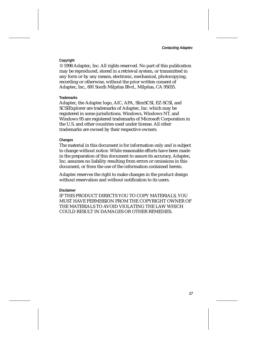**Contacting Adaptec**

### **Copyright**

© 1998 Adaptec, Inc. All rights reserved. No part of this publication may be reproduced, stored in a retrieval system, or transmitted in any form or by any means, electronic, mechanical, photocopying, recording or otherwise, without the prior written consent of Adaptec, Inc., 691 South Milpitas Blvd., Milpitas, CA 95035.

### **Trademarks**

Adaptec, the Adaptec logo, AIC, APA, SlimSCSI, EZ-SCSI, and SCSIExplorer are trademarks of Adaptec, Inc. which may be registered in some jurisdictions. Windows, Windows NT, and Windows 95 are registered trademarks of Microsoft Corporation in the U.S. and other countries used under license. All other trademarks are owned by their respective owners.

#### **Changes**

The material in this document is for information only and is subject to change without notice. While reasonable efforts have been made in the preparation of this document to assure its accuracy, Adaptec, Inc. assumes no liability resulting from errors or omissions in this document, or from the use of the information contained herein.

Adaptec reserves the right to make changes in the product design without reservation and without notification to its users.

#### **Disclaimer**

IF THIS PRODUCT DIRECTS YOU TO COPY MATERIALS, YOU MUST HAVE PERMISSION FROM THE COPYRIGHT OWNER OF THE MATERIALS TO AVOID VIOLATING THE LAW WHICH COULD RESULT IN DAMAGES OR OTHER REMEDIES.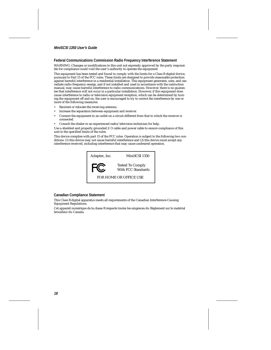#### **Federal Communications Commission Radio Frequency Interference Statement**

WARNING: Changes or modifications to this unit not expressly approved by the party responsible for compliance could void the user's authority to operate the equipment.

This equipment has been tested and found to comply with the limits for a Class B digital device, pursuant to Part 15 of the FCC rules. These limits are designed to provide reasonable protection against harmful interference in a residential installation. This equipment generates, uses, and can radiate radio frequency energy, and if not installed and used in accordance with the instruction manual, may cause harmful interference to radio communications. However, there is no guarantee that interference will not occur in a particular installation. However, if this equipment does cause interference to radio or television equipment reception, which can be determined by turning the equipment off and on, the user is encouraged to try to correct the interference by one or more of the following measures:

- Reorient or relocate the receiving antenna.
- Increase the separation between equipment and receiver.
- Connect the equipment to an outlet on a circuit different from that to which the receiver is connected.
- Consult the dealer or an experienced radio/television technician for help.

Use a shielded and properly grounded I/O cable and power cable to ensure compliance of this unit to the specified limits of the rules.

This device complies with part 15 of the FCC rules. Operation is subject to the following two conditions: (1) this device may not cause harmful interference and (2) this device must accept any interference received, including interference that may cause undesired operation.



#### **Canadian Compliance Statement**

This Class B digital apparatus meets all requirements of the Canadian Interference-Causing Equipment Regulations.

Cet appareil numérique de la classe B respecte toutes les exigences du Règlement sur le matérial brouilleur du Canada.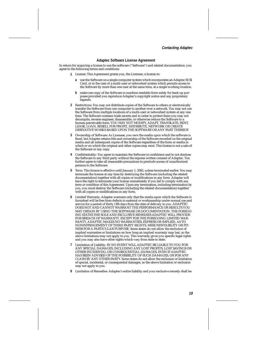**Contacting Adaptec**

#### **Adaptec Software License Agreement**

In return for acquiring a license to use the software ("Software") and related documentation, you agree to the following terms and conditions:

- **1** License: This Agreement grants you, the Licensee, a license to:
	- **a** use the Software on a single computer system which incorporates an Adaptec SCSI Card, or in the case of a multi-user or networked system which permits access to the Software by more than one user at the same time, at a single working location.
	- **b** make one copy of the Software in machine readable form solely for back-up purposes provided you reproduce Adaptec's copyright notice and any proprietary legends.
- **2** Restrictions: You may not distribute copies of the Software to others or electronically transfer the Software from one computer to another over a network. You may not use the Software from multiple locations of a multi-user or networked system at any one time. The Software contains trade secrets and in order to protect them you may not decompile, reverse engineer, disassemble, or otherwise reduce the Software to a human-perceivable form. YOU MAY NOT MODIFY, ADAPT, TRANSLATE, RENT, LEASE, LOAN, RESELL FOR PROFIT, DISTRIBUTE, NETWORK OR CREATE DERIVATIVE WORKS BASED UPON THE SOFTWARE OR ANY PART THEREOF.
- **3** Ownership of Software: As Licensee, you own the media upon which the software is fixed, but Adaptec retains title and ownership of the Software recorded on the original media and all subsequent copies of the Software regardless of the form or media in which or on which the original and other copies may exist. This license is not a sale of the Software or any copy.
- **4** Confidentiality: You agree to maintain the Software in confidence and to not disclose the Software to any third party without the express written consent of Adaptec. You further agree to take all reasonable precautions to preclude access of unauthorized persons to the Software.
- **5** Term: This license is effective until January 1, 2042, unless terminated earlier. You may terminate the license at any time by destroying the Software (including the related documentation) together with all copies or modifications in any form. Adaptec will have the right to terminate your license immediately if you fail to comply with any term or condition of this Agreement. Upon any termination, including termination by you, you must destroy the Software (including the related documentation) together with all copies or modifications in any form.
- **6** Limited Warranty: Adaptec warrants only that the media upon which the Software is furnished will be free from defects in material or workmanship under normal use and service for a period of thirty (30) days from the date of delivery to you. ADAPTEC DOES NOT AND CANNOT WARRANT THE PERFORMANCE OR RESULTS YOU MAY OBTAIN BY USING THE SOFTWARE OR DOCUMENTATION. THE FOREGO-ING STATES THE SOLE AND EXCLUSIVE REMEDIES ADAPTEC WILL PROVIDE FOR BREACH OF WARRANTY. EXCEPT FOR THE FOREGOING LIMITED WAR-RANTY, ADAPTEC MAKES NO WARRANTIES, EXPRESS OR IMPLIED, AS TO NONINFRINGEMENT OF THIRD PARTY RIGHTS, MERCHENTABILITY OR FIT-NESS FOR A PARTICULAR PURPOSE. Some states do not allow the exclusion of implied warranties or limitations on how long an implied warranty may last, so the above limitations may not apply to you. This warranty gives you specific legal rights and you may also have other rights which vary from state to state.
- **7** Limitation of Liability: IN NO EVENT WILL ADAPTEC BE LIABLE TO YOU FOR ANY SPECIAL DAMAGES, INCLUDING ANY LOST PROFITS, LOST SAVINGS OR OTHER INCIDENTAL OR CONSEQUENTIAL DAMAGES, EVEN IF ADAPTEC HAS BEEN ADVISED OF THE POSSIBILITY OF SUCH DAMAGES, OR FOR ANY CLAIM BY ANY OTHER PARTY. Some states do not allow the exclusion or limitation of special, incidental, or consequential damages, so the above limitation or exclusion may not apply to you.
- **8** Limitation of Remedies: Adaptec's entire liability and your exclusive remedy shall be: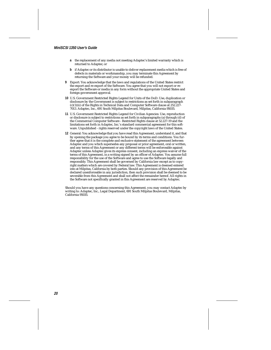- **a** the replacement of any media not meeting Adaptec's limited warranty which is returned to Adaptec; or
- **b** if Adaptec or its distributor is unable to deliver replacement media which is free of defects in materials or workmanship, you may terminate this Agreement by returning the Software and your money will be refunded.
- **9** Export: You acknowledge that the laws and regulations of the United States restrict the export and re-export of the Software. You agree that you will not export or reexport the Software or media in any form without the appropriate United States and foreign government approval.
- **10** U.S. Government Restricted Rights Legend for Units of the DoD: Use, duplication or disclosure by the Government is subject to restrictions as set forth in subparagraph (c)(1)(ii) of the Rights in Technical Data and Computer Software clause at 252.227- 7013. Adaptec, Inc., 691 South Milpitas Boulevard, Milpitas, California 95035.
- **11** U.S. Government Restricted Rights Legend for Civilian Agencies: Use, reproduction or disclosure is subject to restrictions as set forth in subparagraphs (a) through (d) of the Commercial Computer Software - Restricted Rights clause at 52.227-19 and the limitations set forth in Adaptec, Inc.'s standard commercial agreement for this software. Unpublished - rights reserved under the copyright laws of the United States.
- **12** General: You acknowledge that you have read this Agreement, understand it, and that by opening the package you agree to be bound by its terms and conditions. You further agree that it is the complete and exclusive statement of the agreement between Adaptec and you which supersedes any proposal or prior agreement, oral or written, and any terms of this Agreement or any different terms will be enforceable against Adaptec unless Adaptec gives its express consent, including an express waiver of the terms of this Agreement, in a writing signed by an officer of Adaptec. You assume full responsibility for the use of the Software and agree to use the Software legally and responsibly. This Agreement shall be governed by California law except as to copyright matters which are covered by Federal law. This Agreement is deemed entered into at Milpitas, California by both parties. Should any provision of this Agreement be declared unenforceable in any jurisdiction, then such provision shall be deemed to be severable from this Agreement and shall not affect the remainder hereof. All rights in the Software not specifically granted in this Agreement are reserved by Adaptec.

Should you have any questions concerning this Agreement, you may contact Adaptec by writing to: Adaptec, Inc., Legal Department, 691 South Milpitas Boulevard, Milpitas, California 95035.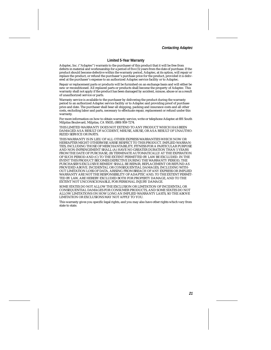**Contacting Adaptec**

#### **Limited 5-Year Warranty**

Adaptec, Inc. ("Adaptec") warrants to the purchaser of this product that it will be free from defects in material and workmanship for a period of five (5) years from the date of purchase. If the product should become defective within the warranty period, Adaptec, at its option, will repair or replace the product, or refund the purchaser's purchase price for the product, provided it is delivered at the purchaser's expense to an authorized Adaptec service facility or to Adaptec.

Repair or replacement parts or products will be furnished on an exchange basis and will either be new or reconditioned. All replaced parts or products shall become the property of Adaptec. This warranty shall not apply if the product has been damaged by accident, misuse, abuse or as a result of unauthorized service or parts.

Warranty service is available to the purchaser by delivering the product during the warranty period to an authorized Adaptec service facility or to Adaptec and providing proof of purchase price and date. The purchaser shall bear all shipping, packing and insurance costs and all other costs, excluding labor and parts, necessary to effectuate repair, replacement or refund under this **warranty** 

For more information on how to obtain warranty service, write or telephone Adaptec at 691 South Milpitas Boulevard, Milpitas, CA 95035, (800) 959-7274.

THIS LIMITED WARRANTY DOES NOT EXTEND TO ANY PRODUCT WHICH HAS BEEN DAMAGED AS A RESULT OF ACCIDENT, MISUSE, ABUSE, OR AS A RESULT OF UNAUTHO-RIZED SERVICE OR PARTS.

THIS WARRANTY IS IN LIEU OF ALL OTHER EXPRESS WARRANTIES WHICH NOW OR HEREAFTER MIGHT OTHERWISE ARISE RESPECT TO THIS PRODUCT. IMPLIED WARRAN-TIES, INCLUDING THOSE OF MERCHANTABILITY, FITNESS FOR A PARTICULAR PURPOSE AND NON-INFRINGEMENT SHALL (A) HAVE NO GREATER DURATION THAN 5 YEARS FROM THE DATE OF PURCHASE, (B) TERMINATE AUTOMATICALLY AT THE EXPIRATION OF SUCH PERIOD AND (C) TO THE EXTENT PERMITTED BY LAW BE EXCLUDED. IN THE EVENT THIS PRODUCT BECOMES DEFECTIVE DURING THE WARRANTY PERIOD, THE PURCHASER'S EXCLUSIVE REMEDY SHALL BE REPAIR, REPLACEMENT OR REFUND AS PROVIDED ABOVE. INCIDENTAL OR CONSEQUENTIAL DAMAGES, INCLUDING WITH-OUT LIMITATION LOSS OF DATA, ARISING FROM BREACH OF ANY EXPRESS OR IMPLIED WARRANTY ARE NOT THE RESPONSIBILITY OF ADAPTEC AND, TO THE EXTENT PERMIT-TED BY LAW, ARE HEREBY EXCLUDED BOTH FOR PROPERTY DAMAGE, AND TO THE EXTENT NOT UNCONSCIONABLE, FOR PERSONAL INJURY DAMAGE.

SOME STATES DO NOT ALLOW THE EXCLUSION OR LIMITATION OF INCIDENTAL OR CONSEQUENTIAL DAMAGES FOR CONSUMER PRODUCTS, AND SOME STATES DO NOT ALLOW LIMITATIONS ON HOW LONG AN IMPLIED WARRANTY LASTS, SO THE ABOVE LIMITATION OR EXCLUSIONS MAY NOT APPLY TO YOU.

This warranty gives you specific legal rights, and you may also have other rights which vary from state to state.